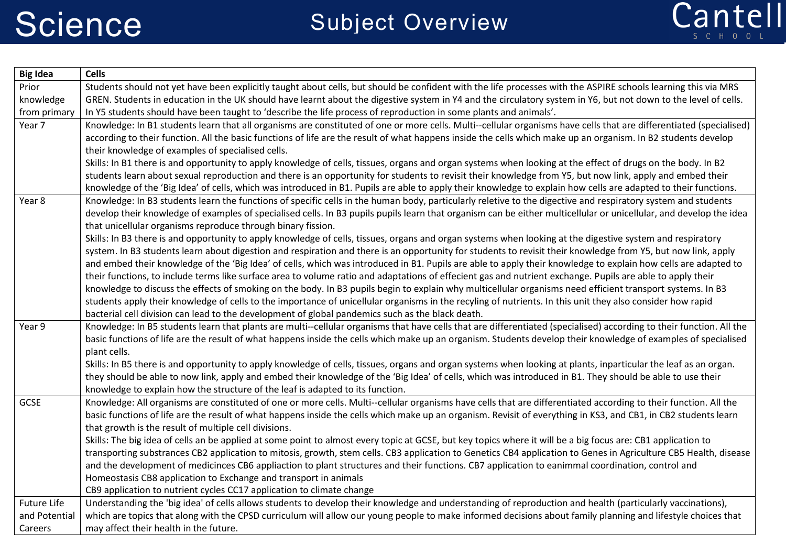

| <b>Big Idea</b> | <b>Cells</b>                                                                                                                                                         |
|-----------------|----------------------------------------------------------------------------------------------------------------------------------------------------------------------|
| Prior           | Students should not yet have been explicitly taught about cells, but should be confident with the life processes with the ASPIRE schools learning this via MRS       |
| knowledge       | GREN. Students in education in the UK should have learnt about the digestive system in Y4 and the circulatory system in Y6, but not down to the level of cells.      |
| from primary    | In Y5 students should have been taught to 'describe the life process of reproduction in some plants and animals'.                                                    |
| Year 7          | Knowledge: In B1 students learn that all organisms are constituted of one or more cells. Multi--cellular organisms have cells that are differentiated (specialised)  |
|                 | according to their function. All the basic functions of life are the result of what happens inside the cells which make up an organism. In B2 students develop       |
|                 | their knowledge of examples of specialised cells.                                                                                                                    |
|                 | Skills: In B1 there is and opportunity to apply knowledge of cells, tissues, organs and organ systems when looking at the effect of drugs on the body. In B2         |
|                 | students learn about sexual reproduction and there is an opportunity for students to revisit their knowledge from Y5, but now link, apply and embed their            |
|                 | knowledge of the 'Big Idea' of cells, which was introduced in B1. Pupils are able to apply their knowledge to explain how cells are adapted to their functions.      |
| Year 8          | Knowledge: In B3 students learn the functions of specific cells in the human body, particularly reletive to the digective and respiratory system and students        |
|                 | develop their knowledge of examples of specialised cells. In B3 pupils pupils learn that organism can be either multicellular or unicellular, and develop the idea   |
|                 | that unicellular organisms reproduce through binary fission.                                                                                                         |
|                 | Skills: In B3 there is and opportunity to apply knowledge of cells, tissues, organs and organ systems when looking at the digestive system and respiratory           |
|                 | system. In B3 students learn about digestion and respiration and there is an opportunity for students to revisit their knowledge from Y5, but now link, apply        |
|                 | and embed their knowledge of the 'Big Idea' of cells, which was introduced in B1. Pupils are able to apply their knowledge to explain how cells are adapted to       |
|                 | their functions, to include terms like surface area to volume ratio and adaptations of effecient gas and nutrient exchange. Pupils are able to apply their           |
|                 | knowledge to discuss the effects of smoking on the body. In B3 pupils begin to explain why multicellular organisms need efficient transport systems. In B3           |
|                 | students apply their knowledge of cells to the importance of unicellular organisms in the recyling of nutrients. In this unit they also consider how rapid           |
|                 | bacterial cell division can lead to the development of global pandemics such as the black death.                                                                     |
| Year 9          | Knowledge: In B5 students learn that plants are multi--cellular organisms that have cells that are differentiated (specialised) according to their function. All the |
|                 | basic functions of life are the result of what happens inside the cells which make up an organism. Students develop their knowledge of examples of specialised       |
|                 | plant cells.                                                                                                                                                         |
|                 | Skills: In B5 there is and opportunity to apply knowledge of cells, tissues, organs and organ systems when looking at plants, inparticular the leaf as an organ.     |
|                 | they should be able to now link, apply and embed their knowledge of the 'Big Idea' of cells, which was introduced in B1. They should be able to use their            |
|                 | knowledge to explain how the structure of the leaf is adapted to its function.                                                                                       |
| GCSE            | Knowledge: All organisms are constituted of one or more cells. Multi--cellular organisms have cells that are differentiated according to their function. All the     |
|                 | basic functions of life are the result of what happens inside the cells which make up an organism. Revisit of everything in KS3, and CB1, in CB2 students learn      |
|                 | that growth is the result of multiple cell divisions.                                                                                                                |
|                 | Skills: The big idea of cells an be applied at some point to almost every topic at GCSE, but key topics where it will be a big focus are: CB1 application to         |
|                 | transporting substrances CB2 application to mitosis, growth, stem cells. CB3 application to Genetics CB4 application to Genes in Agriculture CB5 Health, disease     |
|                 | and the development of medicinces CB6 appliaction to plant structures and their functions. CB7 application to eanimmal coordination, control and                     |
|                 | Homeostasis CB8 application to Exchange and transport in animals                                                                                                     |
|                 | CB9 application to nutrient cycles CC17 application to climate change                                                                                                |
| Future Life     | Understanding the 'big idea' of cells allows students to develop their knowledge and understanding of reproduction and health (particularly vaccinations),           |
| and Potential   | which are topics that along with the CPSD curriculum will allow our young people to make informed decisions about family planning and lifestyle choices that         |
| Careers         | may affect their health in the future.                                                                                                                               |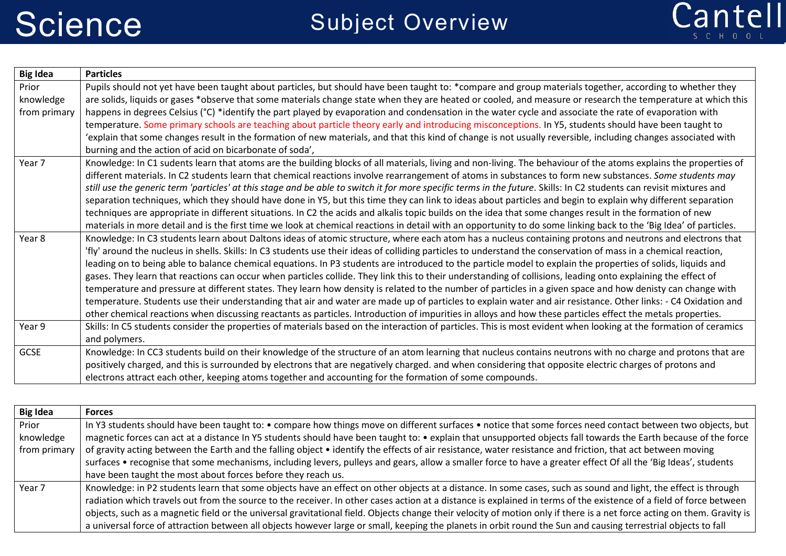

| <b>Big Idea</b> | <b>Particles</b>                                                                                                                                                     |
|-----------------|----------------------------------------------------------------------------------------------------------------------------------------------------------------------|
| Prior           | Pupils should not yet have been taught about particles, but should have been taught to: *compare and group materials together, according to whether they             |
| knowledge       | are solids, liquids or gases *observe that some materials change state when they are heated or cooled, and measure or research the temperature at which this         |
| from primary    | happens in degrees Celsius (°C) *identify the part played by evaporation and condensation in the water cycle and associate the rate of evaporation with              |
|                 | temperature. Some primary schools are teaching about particle theory early and introducing misconceptions. In Y5, students should have been taught to                |
|                 | 'explain that some changes result in the formation of new materials, and that this kind of change is not usually reversible, including changes associated with       |
|                 | burning and the action of acid on bicarbonate of soda',                                                                                                              |
| Year 7          | Knowledge: In C1 sudents learn that atoms are the building blocks of all materials, living and non-living. The behaviour of the atoms explains the properties of     |
|                 | different materials. In C2 students learn that chemical reactions involve rearrangement of atoms in substances to form new substances. Some students may             |
|                 | still use the generic term 'particles' at this stage and be able to switch it for more specific terms in the future. Skills: In C2 students can revisit mixtures and |
|                 | separation techniques, which they should have done in Y5, but this time they can link to ideas about particles and begin to explain why different separation         |
|                 | techniques are appropriate in different situations. In C2 the acids and alkalis topic builds on the idea that some changes result in the formation of new            |
|                 | materials in more detail and is the first time we look at chemical reactions in detail with an opportunity to do some linking back to the 'Big Idea' of particles.   |
| Year 8          | Knowledge: In C3 students learn about Daltons ideas of atomic structure, where each atom has a nucleus containing protons and neutrons and electrons that            |
|                 | 'fly' around the nucleus in shells. Skills: In C3 students use their ideas of colliding particles to understand the conservation of mass in a chemical reaction,     |
|                 | leading on to being able to balance chemical equations. In P3 students are introduced to the particle model to explain the properties of solids, liquids and         |
|                 | gases. They learn that reactions can occur when particles collide. They link this to their understanding of collisions, leading onto explaining the effect of        |
|                 | temperature and pressure at different states. They learn how density is related to the number of particles in a given space and how denisty can change with          |
|                 | temperature. Students use their understanding that air and water are made up of particles to explain water and air resistance. Other links: - C4 Oxidation and       |
|                 | other chemical reactions when discussing reactants as particles. Introduction of impurities in alloys and how these particles effect the metals properties.          |
| Year 9          | Skills: In C5 students consider the properties of materials based on the interaction of particles. This is most evident when looking at the formation of ceramics    |
|                 | and polymers.                                                                                                                                                        |
| GCSE            | Knowledge: In CC3 students build on their knowledge of the structure of an atom learning that nucleus contains neutrons with no charge and protons that are          |
|                 | positively charged, and this is surrounded by electrons that are negatively charged. and when considering that opposite electric charges of protons and              |
|                 | electrons attract each other, keeping atoms together and accounting for the formation of some compounds.                                                             |

| <b>Big Idea</b> | <b>Forces</b>                                                                                                                                                           |
|-----------------|-------------------------------------------------------------------------------------------------------------------------------------------------------------------------|
| Prior           | In Y3 students should have been taught to: • compare how things move on different surfaces • notice that some forces need contact between two objects, but              |
| knowledge       | magnetic forces can act at a distance In Y5 students should have been taught to: • explain that unsupported objects fall towards the Earth because of the force         |
| from primary    | of gravity acting between the Earth and the falling object • identify the effects of air resistance, water resistance and friction, that act between moving             |
|                 | surfaces • recognise that some mechanisms, including levers, pulleys and gears, allow a smaller force to have a greater effect Of all the 'Big Ideas', students         |
|                 | have been taught the most about forces before they reach us.                                                                                                            |
| Year 7          | Knowledge: in P2 students learn that some objects have an effect on other objects at a distance. In some cases, such as sound and light, the effect is through          |
|                 | radiation which travels out from the source to the receiver. In other cases action at a distance is explained in terms of the existence of a field of force between     |
|                 | objects, such as a magnetic field or the universal gravitational field. Objects change their velocity of motion only if there is a net force acting on them. Gravity is |
|                 | a universal force of attraction between all objects however large or small, keeping the planets in orbit round the Sun and causing terrestrial objects to fall          |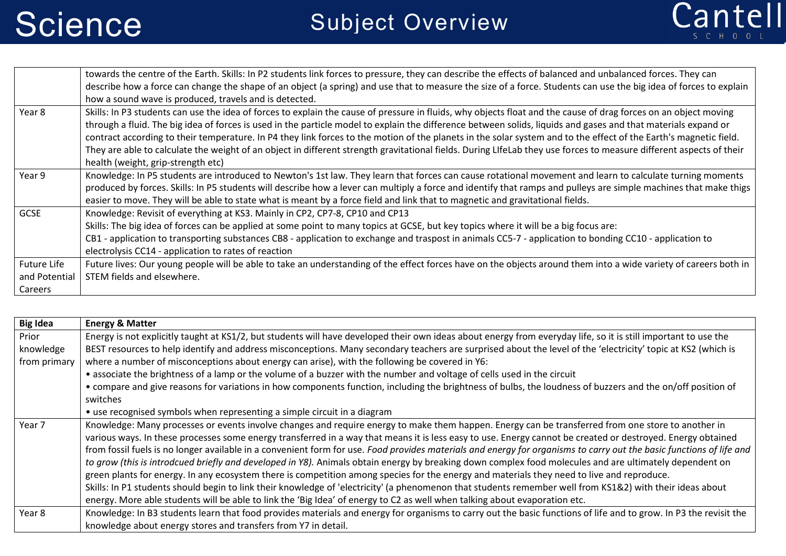

|               | towards the centre of the Earth. Skills: In P2 students link forces to pressure, they can describe the effects of balanced and unbalanced forces. They can          |
|---------------|---------------------------------------------------------------------------------------------------------------------------------------------------------------------|
|               | describe how a force can change the shape of an object (a spring) and use that to measure the size of a force. Students can use the big idea of forces to explain   |
|               | how a sound wave is produced, travels and is detected.                                                                                                              |
| Year 8        | Skills: In P3 students can use the idea of forces to explain the cause of pressure in fluids, why objects float and the cause of drag forces on an object moving    |
|               | through a fluid. The big idea of forces is used in the particle model to explain the difference between solids, liquids and gases and that materials expand or      |
|               | contract according to their temperature. In P4 they link forces to the motion of the planets in the solar system and to the effect of the Earth's magnetic field.   |
|               | They are able to calculate the weight of an object in different strength gravitational fields. During LIfeLab they use forces to measure different aspects of their |
|               | health (weight, grip-strength etc)                                                                                                                                  |
| Year 9        | Knowledge: In P5 students are introduced to Newton's 1st law. They learn that forces can cause rotational movement and learn to calculate turning moments           |
|               | produced by forces. Skills: In P5 students will describe how a lever can multiply a force and identify that ramps and pulleys are simple machines that make thigs   |
|               | easier to move. They will be able to state what is meant by a force field and link that to magnetic and gravitational fields.                                       |
| <b>GCSE</b>   | Knowledge: Revisit of everything at KS3. Mainly in CP2, CP7-8, CP10 and CP13                                                                                        |
|               | Skills: The big idea of forces can be applied at some point to many topics at GCSE, but key topics where it will be a big focus are:                                |
|               | CB1 - application to transporting substances CB8 - application to exchange and traspost in animals CC5-7 - application to bonding CC10 - application to             |
|               | electrolysis CC14 - application to rates of reaction                                                                                                                |
| Future Life   | Future lives: Our young people will be able to take an understanding of the effect forces have on the objects around them into a wide variety of careers both in    |
| and Potential | STEM fields and elsewhere.                                                                                                                                          |
| Careers       |                                                                                                                                                                     |

| <b>Big Idea</b> | <b>Energy &amp; Matter</b>                                                                                                                                           |
|-----------------|----------------------------------------------------------------------------------------------------------------------------------------------------------------------|
| Prior           | Energy is not explicitly taught at KS1/2, but students will have developed their own ideas about energy from everyday life, so it is still important to use the      |
| knowledge       | BEST resources to help identify and address misconceptions. Many secondary teachers are surprised about the level of the 'electricity' topic at KS2 (which is        |
| from primary    | where a number of misconceptions about energy can arise), with the following be covered in Y6:                                                                       |
|                 | • associate the brightness of a lamp or the volume of a buzzer with the number and voltage of cells used in the circuit                                              |
|                 | • compare and give reasons for variations in how components function, including the brightness of bulbs, the loudness of buzzers and the on/off position of          |
|                 | switches                                                                                                                                                             |
|                 | • use recognised symbols when representing a simple circuit in a diagram                                                                                             |
| Year 7          | Knowledge: Many processes or events involve changes and require energy to make them happen. Energy can be transferred from one store to another in                   |
|                 | various ways. In these processes some energy transferred in a way that means it is less easy to use. Energy cannot be created or destroyed. Energy obtained          |
|                 | from fossil fuels is no longer available in a convenient form for use. Food provides materials and energy for organisms to carry out the basic functions of life and |
|                 | to grow (this is introdcued briefly and developed in Y8). Animals obtain energy by breaking down complex food molecules and are ultimately dependent on              |
|                 | green plants for energy. In any ecosystem there is competition among species for the energy and materials they need to live and reproduce.                           |
|                 | Skills: In P1 students should begin to link their knowledge of 'electricity' (a phenomenon that students remember well from KS1&2) with their ideas about            |
|                 | energy. More able students will be able to link the 'Big Idea' of energy to C2 as well when talking about evaporation etc.                                           |
| Year 8          | Knowledge: In B3 students learn that food provides materials and energy for organisms to carry out the basic functions of life and to grow. In P3 the revisit the    |
|                 | knowledge about energy stores and transfers from Y7 in detail.                                                                                                       |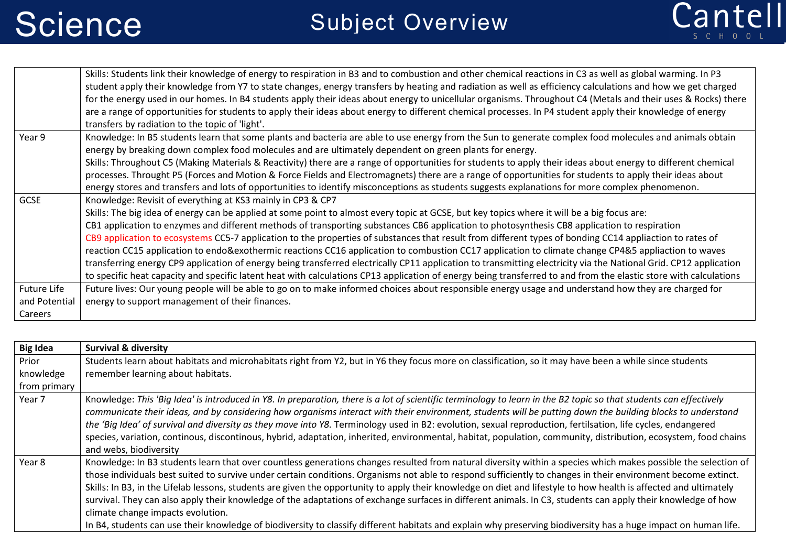

|                                         | Skills: Students link their knowledge of energy to respiration in B3 and to combustion and other chemical reactions in C3 as well as global warming. In P3<br>student apply their knowledge from Y7 to state changes, energy transfers by heating and radiation as well as efficiency calculations and how we get charged<br>for the energy used in our homes. In B4 students apply their ideas about energy to unicellular organisms. Throughout C4 (Metals and their uses & Rocks) there                                                                                                                                                                                                                                                                                                                                                                                                                                                                                                                              |
|-----------------------------------------|-------------------------------------------------------------------------------------------------------------------------------------------------------------------------------------------------------------------------------------------------------------------------------------------------------------------------------------------------------------------------------------------------------------------------------------------------------------------------------------------------------------------------------------------------------------------------------------------------------------------------------------------------------------------------------------------------------------------------------------------------------------------------------------------------------------------------------------------------------------------------------------------------------------------------------------------------------------------------------------------------------------------------|
|                                         | are a range of opportunities for students to apply their ideas about energy to different chemical processes. In P4 student apply their knowledge of energy<br>transfers by radiation to the topic of 'light'.                                                                                                                                                                                                                                                                                                                                                                                                                                                                                                                                                                                                                                                                                                                                                                                                           |
| Year 9                                  | Knowledge: In B5 students learn that some plants and bacteria are able to use energy from the Sun to generate complex food molecules and animals obtain<br>energy by breaking down complex food molecules and are ultimately dependent on green plants for energy.                                                                                                                                                                                                                                                                                                                                                                                                                                                                                                                                                                                                                                                                                                                                                      |
|                                         | Skills: Throughout C5 (Making Materials & Reactivity) there are a range of opportunities for students to apply their ideas about energy to different chemical<br>processes. Throught P5 (Forces and Motion & Force Fields and Electromagnets) there are a range of opportunities for students to apply their ideas about<br>energy stores and transfers and lots of opportunities to identify misconceptions as students suggests explanations for more complex phenomenon.                                                                                                                                                                                                                                                                                                                                                                                                                                                                                                                                             |
| <b>GCSE</b>                             | Knowledge: Revisit of everything at KS3 mainly in CP3 & CP7<br>Skills: The big idea of energy can be applied at some point to almost every topic at GCSE, but key topics where it will be a big focus are:<br>CB1 application to enzymes and different methods of transporting substances CB6 application to photosynthesis CB8 application to respiration<br>CB9 application to ecosystems CC5-7 application to the properties of substances that result from different types of bonding CC14 appliaction to rates of<br>reaction CC15 application to endo&exothermic reactions CC16 application to combustion CC17 application to climate change CP4&5 appliaction to waves<br>transferring energy CP9 application of energy being transferred electrically CP11 application to transmitting electricity via the National Grid. CP12 application<br>to specific heat capacity and specific latent heat with calculations CP13 application of energy being transferred to and from the elastic store with calculations |
| Future Life<br>and Potential<br>Careers | Future lives: Our young people will be able to go on to make informed choices about responsible energy usage and understand how they are charged for<br>energy to support management of their finances.                                                                                                                                                                                                                                                                                                                                                                                                                                                                                                                                                                                                                                                                                                                                                                                                                 |

| <b>Big Idea</b> | <b>Survival &amp; diversity</b>                                                                                                                                                                                                                                                                                                                                                                                                                                                                                                                                                                                                                                                                                                                                                                                                                                              |
|-----------------|------------------------------------------------------------------------------------------------------------------------------------------------------------------------------------------------------------------------------------------------------------------------------------------------------------------------------------------------------------------------------------------------------------------------------------------------------------------------------------------------------------------------------------------------------------------------------------------------------------------------------------------------------------------------------------------------------------------------------------------------------------------------------------------------------------------------------------------------------------------------------|
| Prior           | Students learn about habitats and microhabitats right from Y2, but in Y6 they focus more on classification, so it may have been a while since students                                                                                                                                                                                                                                                                                                                                                                                                                                                                                                                                                                                                                                                                                                                       |
| knowledge       | remember learning about habitats.                                                                                                                                                                                                                                                                                                                                                                                                                                                                                                                                                                                                                                                                                                                                                                                                                                            |
| from primary    |                                                                                                                                                                                                                                                                                                                                                                                                                                                                                                                                                                                                                                                                                                                                                                                                                                                                              |
| Year 7          | Knowledge: This 'Big Idea' is introduced in Y8. In preparation, there is a lot of scientific terminology to learn in the B2 topic so that students can effectively<br>communicate their ideas, and by considering how organisms interact with their environment, students will be putting down the building blocks to understand<br>the 'Big Idea' of survival and diversity as they move into Y8. Terminology used in B2: evolution, sexual reproduction, fertilsation, life cycles, endangered<br>species, variation, continous, discontinous, hybrid, adaptation, inherited, environmental, habitat, population, community, distribution, ecosystem, food chains<br>and webs, biodiversity                                                                                                                                                                                |
| Year 8          | Knowledge: In B3 students learn that over countless generations changes resulted from natural diversity within a species which makes possible the selection of<br>those individuals best suited to survive under certain conditions. Organisms not able to respond sufficiently to changes in their environment become extinct.<br>Skills: In B3, in the Lifelab lessons, students are given the opportunity to apply their knowledge on diet and lifestyle to how health is affected and ultimately<br>survival. They can also apply their knowledge of the adaptations of exchange surfaces in different animals. In C3, students can apply their knowledge of how<br>climate change impacts evolution.<br>In B4, students can use their knowledge of biodiversity to classify different habitats and explain why preserving biodiversity has a huge impact on human life. |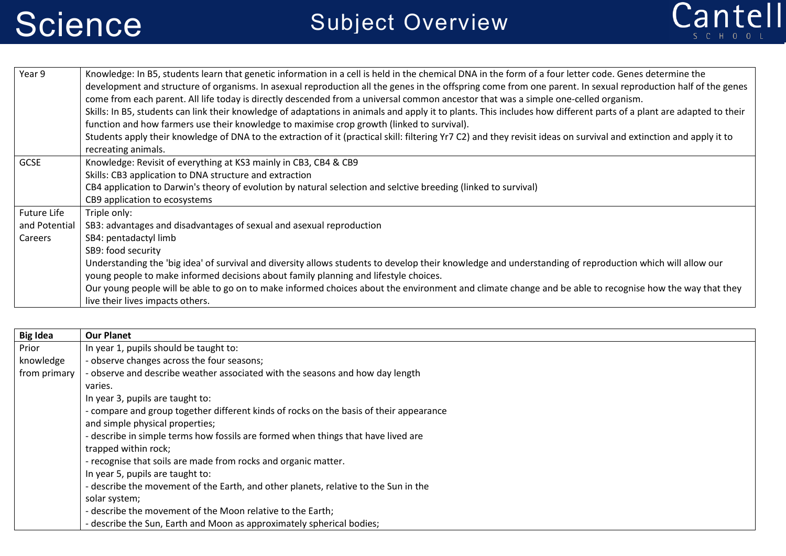

| Year 9        | Knowledge: In B5, students learn that genetic information in a cell is held in the chemical DNA in the form of a four letter code. Genes determine the<br>development and structure of organisms. In asexual reproduction all the genes in the offspring come from one parent. In sexual reproduction half of the genes<br>come from each parent. All life today is directly descended from a universal common ancestor that was a simple one-celled organism.<br>Skills: In B5, students can link their knowledge of adaptations in animals and apply it to plants. This includes how different parts of a plant are adapted to their<br>function and how farmers use their knowledge to maximise crop growth (linked to survival). |
|---------------|--------------------------------------------------------------------------------------------------------------------------------------------------------------------------------------------------------------------------------------------------------------------------------------------------------------------------------------------------------------------------------------------------------------------------------------------------------------------------------------------------------------------------------------------------------------------------------------------------------------------------------------------------------------------------------------------------------------------------------------|
|               | Students apply their knowledge of DNA to the extraction of it (practical skill: filtering Yr7 C2) and they revisit ideas on survival and extinction and apply it to<br>recreating animals.                                                                                                                                                                                                                                                                                                                                                                                                                                                                                                                                           |
| <b>GCSE</b>   | Knowledge: Revisit of everything at KS3 mainly in CB3, CB4 & CB9                                                                                                                                                                                                                                                                                                                                                                                                                                                                                                                                                                                                                                                                     |
|               | Skills: CB3 application to DNA structure and extraction                                                                                                                                                                                                                                                                                                                                                                                                                                                                                                                                                                                                                                                                              |
|               | CB4 application to Darwin's theory of evolution by natural selection and selctive breeding (linked to survival)                                                                                                                                                                                                                                                                                                                                                                                                                                                                                                                                                                                                                      |
|               | CB9 application to ecosystems                                                                                                                                                                                                                                                                                                                                                                                                                                                                                                                                                                                                                                                                                                        |
| Future Life   | Triple only:                                                                                                                                                                                                                                                                                                                                                                                                                                                                                                                                                                                                                                                                                                                         |
| and Potential | SB3: advantages and disadvantages of sexual and asexual reproduction                                                                                                                                                                                                                                                                                                                                                                                                                                                                                                                                                                                                                                                                 |
| Careers       | SB4: pentadactyl limb                                                                                                                                                                                                                                                                                                                                                                                                                                                                                                                                                                                                                                                                                                                |
|               | SB9: food security                                                                                                                                                                                                                                                                                                                                                                                                                                                                                                                                                                                                                                                                                                                   |
|               | Understanding the 'big idea' of survival and diversity allows students to develop their knowledge and understanding of reproduction which will allow our                                                                                                                                                                                                                                                                                                                                                                                                                                                                                                                                                                             |
|               | young people to make informed decisions about family planning and lifestyle choices.                                                                                                                                                                                                                                                                                                                                                                                                                                                                                                                                                                                                                                                 |
|               | Our young people will be able to go on to make informed choices about the environment and climate change and be able to recognise how the way that they                                                                                                                                                                                                                                                                                                                                                                                                                                                                                                                                                                              |
|               | live their lives impacts others.                                                                                                                                                                                                                                                                                                                                                                                                                                                                                                                                                                                                                                                                                                     |

| <b>Big Idea</b> | <b>Our Planet</b>                                                                      |
|-----------------|----------------------------------------------------------------------------------------|
| Prior           | In year 1, pupils should be taught to:                                                 |
| knowledge       | - observe changes across the four seasons;                                             |
| from primary    | - observe and describe weather associated with the seasons and how day length          |
|                 | varies.                                                                                |
|                 | In year 3, pupils are taught to:                                                       |
|                 | - compare and group together different kinds of rocks on the basis of their appearance |
|                 | and simple physical properties;                                                        |
|                 | - describe in simple terms how fossils are formed when things that have lived are      |
|                 | trapped within rock;                                                                   |
|                 | - recognise that soils are made from rocks and organic matter.                         |
|                 | In year 5, pupils are taught to:                                                       |
|                 | - describe the movement of the Earth, and other planets, relative to the Sun in the    |
|                 | solar system;                                                                          |
|                 | - describe the movement of the Moon relative to the Earth;                             |
|                 | - describe the Sun, Earth and Moon as approximately spherical bodies;                  |